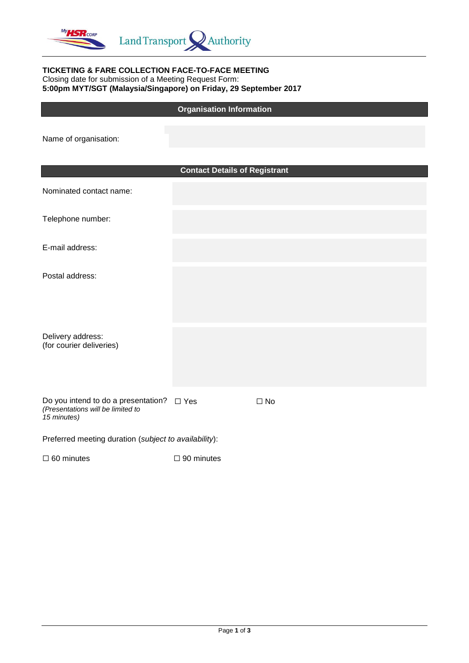

#### **TICKETING & FARE COLLECTION FACE-TO-FACE MEETING** Closing date for submission of a Meeting Request Form: **5:00pm MYT/SGT (Malaysia/Singapore) on Friday, 29 September 2017**

## **Organisation Information**

Name of organisation:

|                                                                                         | <b>Contact Details of Registrant</b> |              |  |  |  |  |
|-----------------------------------------------------------------------------------------|--------------------------------------|--------------|--|--|--|--|
| Nominated contact name:                                                                 |                                      |              |  |  |  |  |
| Telephone number:                                                                       |                                      |              |  |  |  |  |
| E-mail address:                                                                         |                                      |              |  |  |  |  |
| Postal address:                                                                         |                                      |              |  |  |  |  |
|                                                                                         |                                      |              |  |  |  |  |
| Delivery address:<br>(for courier deliveries)                                           |                                      |              |  |  |  |  |
|                                                                                         |                                      |              |  |  |  |  |
| Do you intend to do a presentation?<br>(Presentations will be limited to<br>15 minutes) | $\square$ Yes                        | $\square$ No |  |  |  |  |
| Preferred meeting duration (subject to availability):                                   |                                      |              |  |  |  |  |

 $□ 60$  minutes  $□ 90$  minutes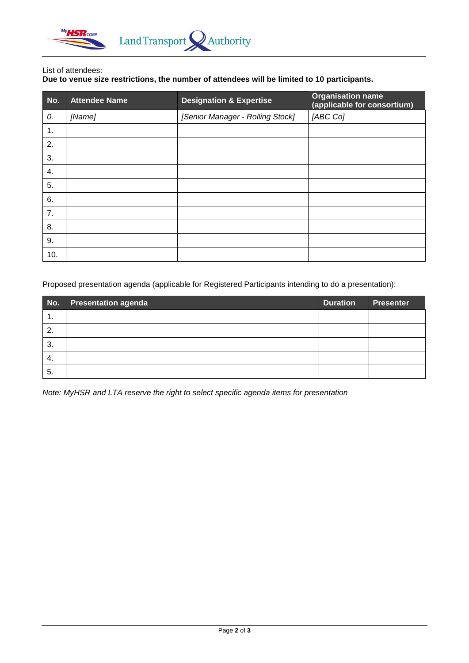

#### List of attendees:

# **Due to venue size restrictions, the number of attendees will be limited to 10 participants.**

| No. | <b>Attendee Name</b> | <b>Designation &amp; Expertise</b> | <b>Organisation name</b><br>(applicable for consortium) |
|-----|----------------------|------------------------------------|---------------------------------------------------------|
| 0.  | [Name]               | [Senior Manager - Rolling Stock]   | [ABC Co]                                                |
| 1.  |                      |                                    |                                                         |
| 2.  |                      |                                    |                                                         |
| 3.  |                      |                                    |                                                         |
| 4.  |                      |                                    |                                                         |
| 5.  |                      |                                    |                                                         |
| 6.  |                      |                                    |                                                         |
| 7.  |                      |                                    |                                                         |
| 8.  |                      |                                    |                                                         |
| 9.  |                      |                                    |                                                         |
| 10. |                      |                                    |                                                         |

Proposed presentation agenda (applicable for Registered Participants intending to do a presentation):

| No. | <b>Presentation agenda</b> | <b>Duration</b> | <b>Presenter</b> |
|-----|----------------------------|-----------------|------------------|
| 1.  |                            |                 |                  |
| 2.  |                            |                 |                  |
| 3.  |                            |                 |                  |
| 4.  |                            |                 |                  |
| 5.  |                            |                 |                  |

*Note: MyHSR and LTA reserve the right to select specific agenda items for presentation*